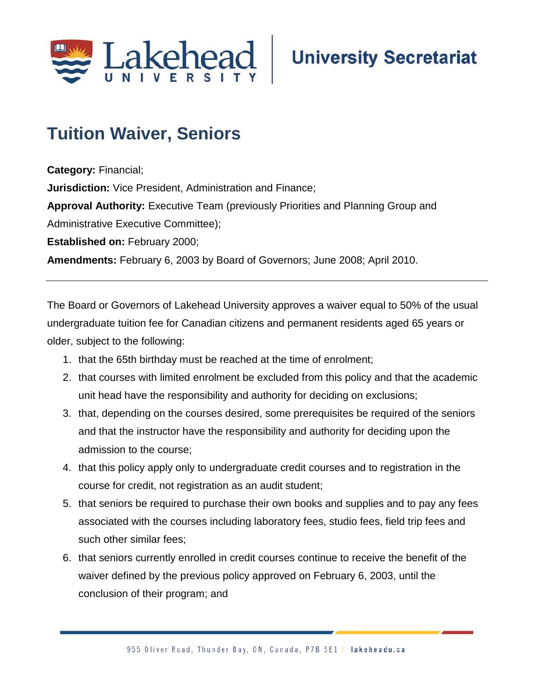

## **Tuition Waiver, Seniors**

**Category:** Financial;

**Jurisdiction:** Vice President, Administration and Finance;

**Approval Authority:** Executive Team (previously Priorities and Planning Group and Administrative Executive Committee);

**Established on:** February 2000;

**Amendments:** February 6, 2003 by Board of Governors; June 2008; April 2010.

The Board or Governors of Lakehead University approves a waiver equal to 50% of the usual undergraduate tuition fee for Canadian citizens and permanent residents aged 65 years or older, subject to the following:

- 1. that the 65th birthday must be reached at the time of enrolment;
- 2. that courses with limited enrolment be excluded from this policy and that the academic unit head have the responsibility and authority for deciding on exclusions;
- 3. that, depending on the courses desired, some prerequisites be required of the seniors and that the instructor have the responsibility and authority for deciding upon the admission to the course;
- 4. that this policy apply only to undergraduate credit courses and to registration in the course for credit, not registration as an audit student;
- 5. that seniors be required to purchase their own books and supplies and to pay any fees associated with the courses including laboratory fees, studio fees, field trip fees and such other similar fees;
- 6. that seniors currently enrolled in credit courses continue to receive the benefit of the waiver defined by the previous policy approved on February 6, 2003, until the conclusion of their program; and